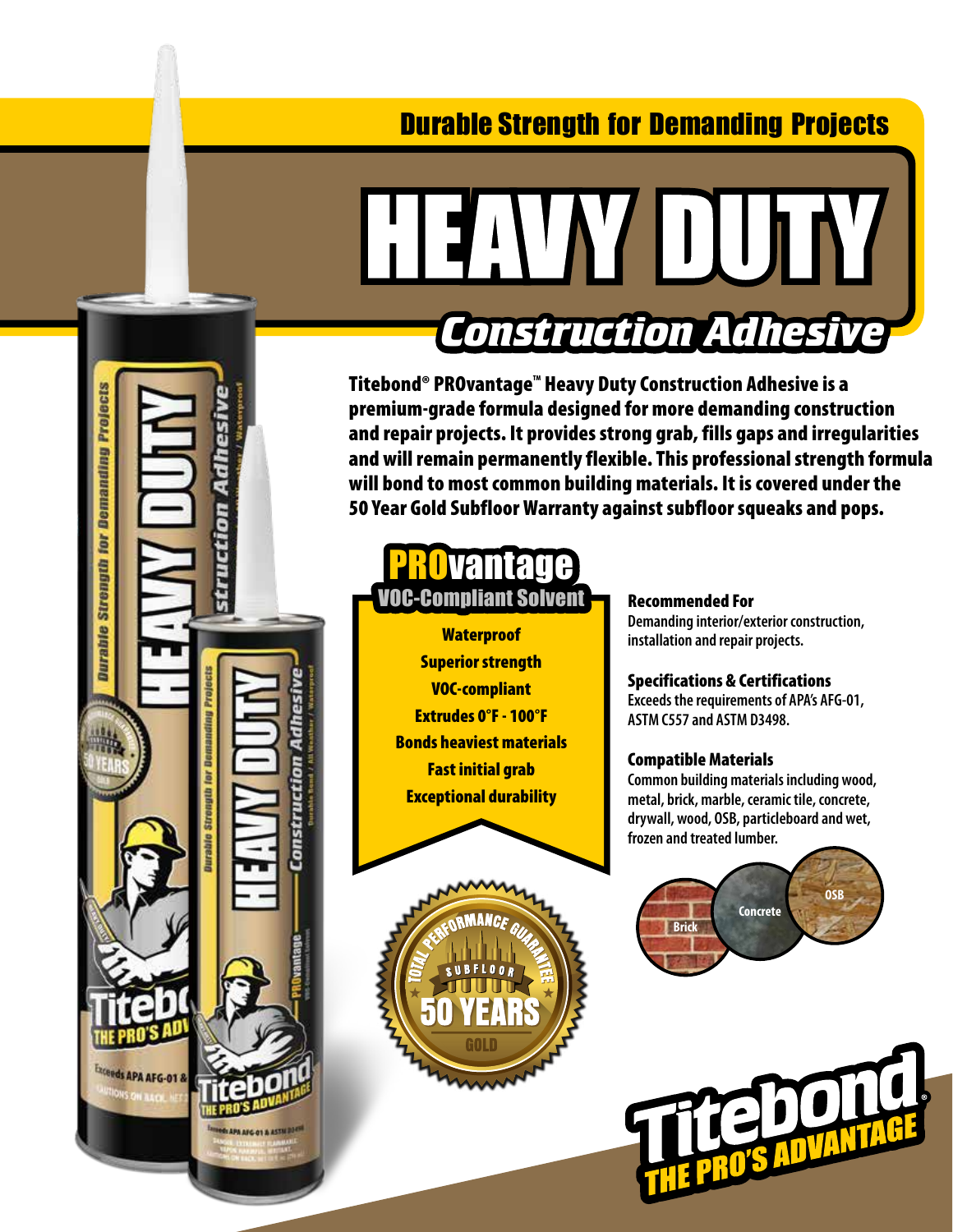# Durable Strength for Demanding Projects



# **HEALTOUTH** *Construction Adhesive*

Titebond® PROvantage™ Heavy Duty Construction Adhesive is a premium-grade formula designed for more demanding construction and repair projects. It provides strong grab, fills gaps and irregularities and will remain permanently flexible. This professional strength formula will bond to most common building materials. It is covered under the 50 Year Gold Subfloor Warranty against subfloor squeaks and pops.



**Waterproof** Superior strength VOC-compliant Extrudes 0°F - 100°F Bonds heaviest materials Fast initial grab Exceptional durability



# Recommended For

**Demanding interior/exterior construction, installation and repair projects.**

#### Specifications & Certifications

**Exceeds the requirements of APA's AFG-01, ASTM C557 and ASTM D3498.**

#### Compatible Materials

**Common building materials including wood, metal, brick, marble, ceramic tile, concrete, drywall, wood, OSB, particleboard and wet, frozen and treated lumber.**